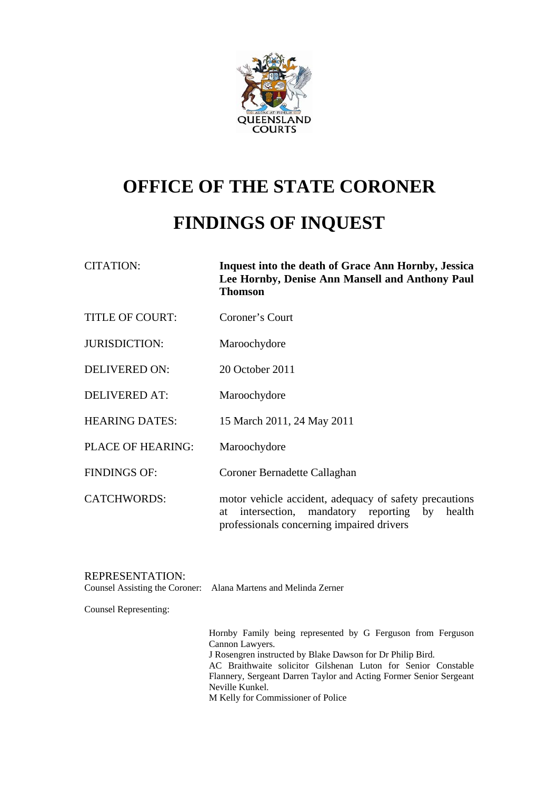

# **OFFICE OF THE STATE CORONER**

## **FINDINGS OF INQUEST**

| <b>CITATION:</b> | Inquest into the death of Grace Ann Hornby, Jessica |
|------------------|-----------------------------------------------------|
|                  | Lee Hornby, Denise Ann Mansell and Anthony Paul     |
|                  | <b>Thomson</b>                                      |
|                  |                                                     |

- TITLE OF COURT: Coroner's Court
- JURISDICTION: Maroochydore
- DELIVERED ON: 20 October 2011
- DELIVERED AT: Maroochydore
- HEARING DATES: 15 March 2011, 24 May 2011
- PLACE OF HEARING: Maroochydore
- FINDINGS OF: Coroner Bernadette Callaghan
- CATCHWORDS: motor vehicle accident, adequacy of safety precautions at intersection, mandatory reporting by health professionals concerning impaired drivers

## REPRESENTATION:

Counsel Assisting the Coroner: Alana Martens and Melinda Zerner

Counsel Representing:

Hornby Family being represented by G Ferguson from Ferguson Cannon Lawyers. J Rosengren instructed by Blake Dawson for Dr Philip Bird. AC Braithwaite solicitor Gilshenan Luton for Senior Constable Flannery, Sergeant Darren Taylor and Acting Former Senior Sergeant Neville Kunkel. M Kelly for Commissioner of Police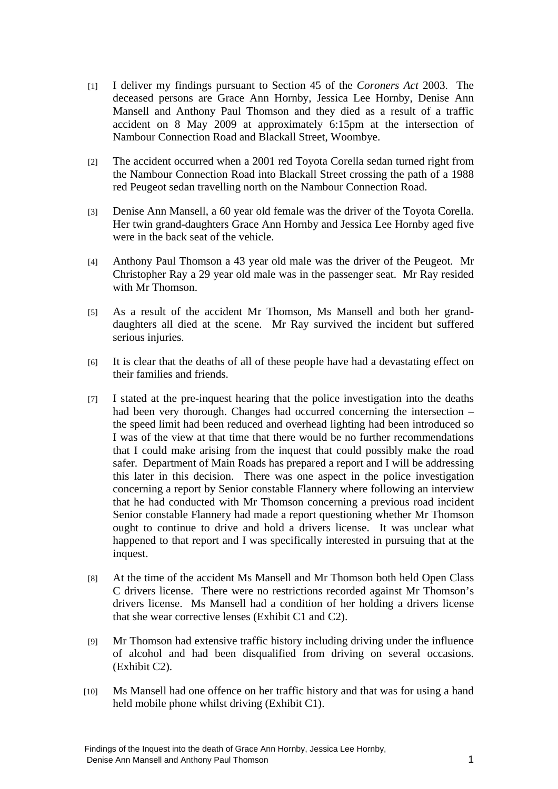- [1] I deliver my findings pursuant to Section 45 of the *Coroners Act* 2003. The deceased persons are Grace Ann Hornby, Jessica Lee Hornby, Denise Ann Mansell and Anthony Paul Thomson and they died as a result of a traffic accident on 8 May 2009 at approximately 6:15pm at the intersection of Nambour Connection Road and Blackall Street, Woombye.
- [2] The accident occurred when a 2001 red Toyota Corella sedan turned right from the Nambour Connection Road into Blackall Street crossing the path of a 1988 red Peugeot sedan travelling north on the Nambour Connection Road.
- [3] Denise Ann Mansell, a 60 year old female was the driver of the Toyota Corella. Her twin grand-daughters Grace Ann Hornby and Jessica Lee Hornby aged five were in the back seat of the vehicle.
- [4] Anthony Paul Thomson a 43 year old male was the driver of the Peugeot. Mr Christopher Ray a 29 year old male was in the passenger seat. Mr Ray resided with Mr Thomson.
- [5] As a result of the accident Mr Thomson, Ms Mansell and both her granddaughters all died at the scene. Mr Ray survived the incident but suffered serious injuries.
- [6] It is clear that the deaths of all of these people have had a devastating effect on their families and friends.
- [7] I stated at the pre-inquest hearing that the police investigation into the deaths had been very thorough. Changes had occurred concerning the intersection – the speed limit had been reduced and overhead lighting had been introduced so I was of the view at that time that there would be no further recommendations that I could make arising from the inquest that could possibly make the road safer. Department of Main Roads has prepared a report and I will be addressing this later in this decision. There was one aspect in the police investigation concerning a report by Senior constable Flannery where following an interview that he had conducted with Mr Thomson concerning a previous road incident Senior constable Flannery had made a report questioning whether Mr Thomson ought to continue to drive and hold a drivers license. It was unclear what happened to that report and I was specifically interested in pursuing that at the inquest.
- [8] At the time of the accident Ms Mansell and Mr Thomson both held Open Class C drivers license. There were no restrictions recorded against Mr Thomson's drivers license. Ms Mansell had a condition of her holding a drivers license that she wear corrective lenses (Exhibit C1 and C2).
- [9] Mr Thomson had extensive traffic history including driving under the influence of alcohol and had been disqualified from driving on several occasions. (Exhibit C2).
- [10] Ms Mansell had one offence on her traffic history and that was for using a hand held mobile phone whilst driving (Exhibit C1).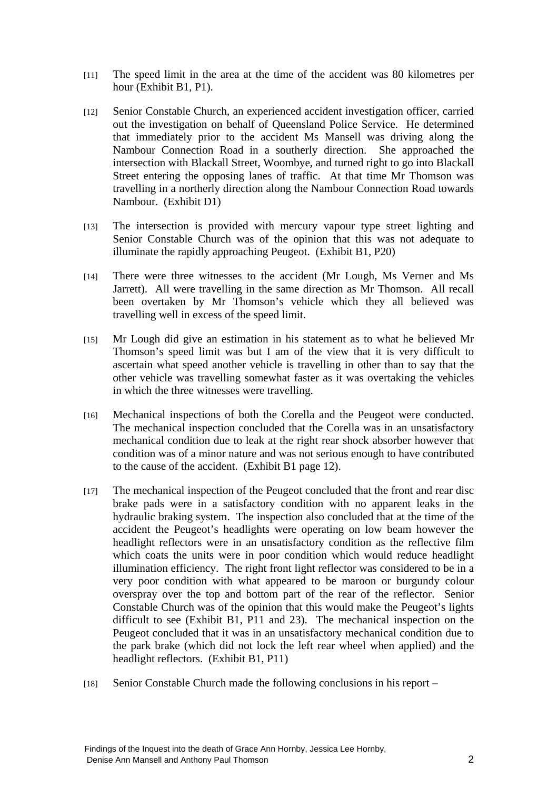- [11] The speed limit in the area at the time of the accident was 80 kilometres per hour (Exhibit B1, P1).
- [12] Senior Constable Church, an experienced accident investigation officer, carried out the investigation on behalf of Queensland Police Service. He determined that immediately prior to the accident Ms Mansell was driving along the Nambour Connection Road in a southerly direction. She approached the intersection with Blackall Street, Woombye, and turned right to go into Blackall Street entering the opposing lanes of traffic. At that time Mr Thomson was travelling in a northerly direction along the Nambour Connection Road towards Nambour. (Exhibit D1)
- [13] The intersection is provided with mercury vapour type street lighting and Senior Constable Church was of the opinion that this was not adequate to illuminate the rapidly approaching Peugeot. (Exhibit B1, P20)
- [14] There were three witnesses to the accident (Mr Lough, Ms Verner and Ms Jarrett). All were travelling in the same direction as Mr Thomson. All recall been overtaken by Mr Thomson's vehicle which they all believed was travelling well in excess of the speed limit.
- [15] Mr Lough did give an estimation in his statement as to what he believed Mr Thomson's speed limit was but I am of the view that it is very difficult to ascertain what speed another vehicle is travelling in other than to say that the other vehicle was travelling somewhat faster as it was overtaking the vehicles in which the three witnesses were travelling.
- [16] Mechanical inspections of both the Corella and the Peugeot were conducted. The mechanical inspection concluded that the Corella was in an unsatisfactory mechanical condition due to leak at the right rear shock absorber however that condition was of a minor nature and was not serious enough to have contributed to the cause of the accident. (Exhibit B1 page 12).
- [17] The mechanical inspection of the Peugeot concluded that the front and rear disc brake pads were in a satisfactory condition with no apparent leaks in the hydraulic braking system. The inspection also concluded that at the time of the accident the Peugeot's headlights were operating on low beam however the headlight reflectors were in an unsatisfactory condition as the reflective film which coats the units were in poor condition which would reduce headlight illumination efficiency. The right front light reflector was considered to be in a very poor condition with what appeared to be maroon or burgundy colour overspray over the top and bottom part of the rear of the reflector. Senior Constable Church was of the opinion that this would make the Peugeot's lights difficult to see (Exhibit B1, P11 and 23). The mechanical inspection on the Peugeot concluded that it was in an unsatisfactory mechanical condition due to the park brake (which did not lock the left rear wheel when applied) and the headlight reflectors. (Exhibit B1, P11)
- [18] Senior Constable Church made the following conclusions in his report –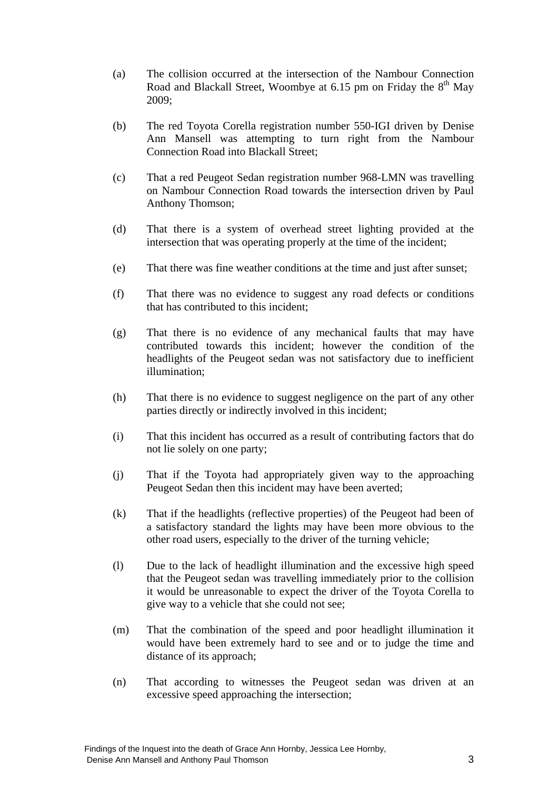- (a) The collision occurred at the intersection of the Nambour Connection Road and Blackall Street, Woombye at 6.15 pm on Friday the  $8<sup>th</sup>$  May 2009;
- (b) The red Toyota Corella registration number 550-IGI driven by Denise Ann Mansell was attempting to turn right from the Nambour Connection Road into Blackall Street;
- (c) That a red Peugeot Sedan registration number 968-LMN was travelling on Nambour Connection Road towards the intersection driven by Paul Anthony Thomson;
- (d) That there is a system of overhead street lighting provided at the intersection that was operating properly at the time of the incident;
- (e) That there was fine weather conditions at the time and just after sunset;
- (f) That there was no evidence to suggest any road defects or conditions that has contributed to this incident;
- (g) That there is no evidence of any mechanical faults that may have contributed towards this incident; however the condition of the headlights of the Peugeot sedan was not satisfactory due to inefficient illumination;
- (h) That there is no evidence to suggest negligence on the part of any other parties directly or indirectly involved in this incident;
- (i) That this incident has occurred as a result of contributing factors that do not lie solely on one party;
- (j) That if the Toyota had appropriately given way to the approaching Peugeot Sedan then this incident may have been averted;
- (k) That if the headlights (reflective properties) of the Peugeot had been of a satisfactory standard the lights may have been more obvious to the other road users, especially to the driver of the turning vehicle;
- (l) Due to the lack of headlight illumination and the excessive high speed that the Peugeot sedan was travelling immediately prior to the collision it would be unreasonable to expect the driver of the Toyota Corella to give way to a vehicle that she could not see;
- (m) That the combination of the speed and poor headlight illumination it would have been extremely hard to see and or to judge the time and distance of its approach;
- (n) That according to witnesses the Peugeot sedan was driven at an excessive speed approaching the intersection;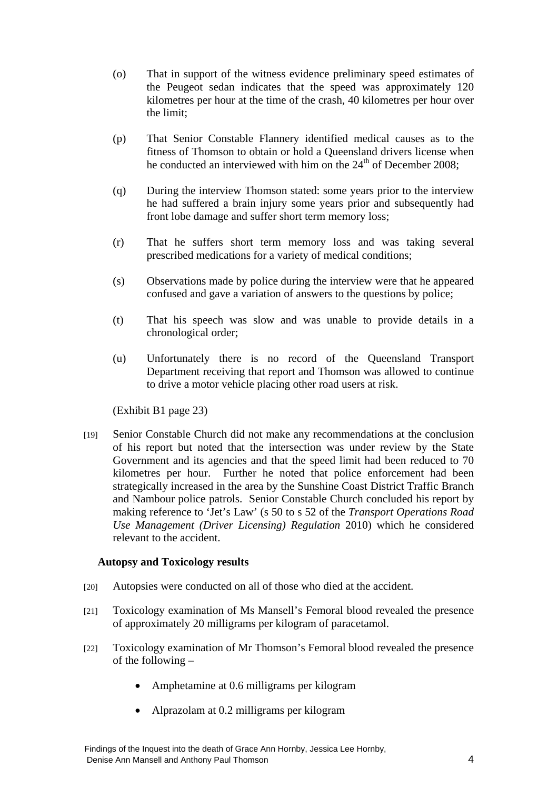- (o) That in support of the witness evidence preliminary speed estimates of the Peugeot sedan indicates that the speed was approximately 120 kilometres per hour at the time of the crash, 40 kilometres per hour over the limit;
- (p) That Senior Constable Flannery identified medical causes as to the fitness of Thomson to obtain or hold a Queensland drivers license when he conducted an interviewed with him on the 24<sup>th</sup> of December 2008;
- (q) During the interview Thomson stated: some years prior to the interview he had suffered a brain injury some years prior and subsequently had front lobe damage and suffer short term memory loss;
- (r) That he suffers short term memory loss and was taking several prescribed medications for a variety of medical conditions;
- (s) Observations made by police during the interview were that he appeared confused and gave a variation of answers to the questions by police;
- (t) That his speech was slow and was unable to provide details in a chronological order;
- (u) Unfortunately there is no record of the Queensland Transport Department receiving that report and Thomson was allowed to continue to drive a motor vehicle placing other road users at risk.

(Exhibit B1 page 23)

[19] Senior Constable Church did not make any recommendations at the conclusion of his report but noted that the intersection was under review by the State Government and its agencies and that the speed limit had been reduced to 70 kilometres per hour. Further he noted that police enforcement had been strategically increased in the area by the Sunshine Coast District Traffic Branch and Nambour police patrols. Senior Constable Church concluded his report by making reference to 'Jet's Law' (s 50 to s 52 of the *Transport Operations Road Use Management (Driver Licensing) Regulation* 2010) which he considered relevant to the accident.

## **Autopsy and Toxicology results**

- [20] Autopsies were conducted on all of those who died at the accident.
- [21] Toxicology examination of Ms Mansell's Femoral blood revealed the presence of approximately 20 milligrams per kilogram of paracetamol.
- [22] Toxicology examination of Mr Thomson's Femoral blood revealed the presence of the following –
	- Amphetamine at 0.6 milligrams per kilogram
	- Alprazolam at 0.2 milligrams per kilogram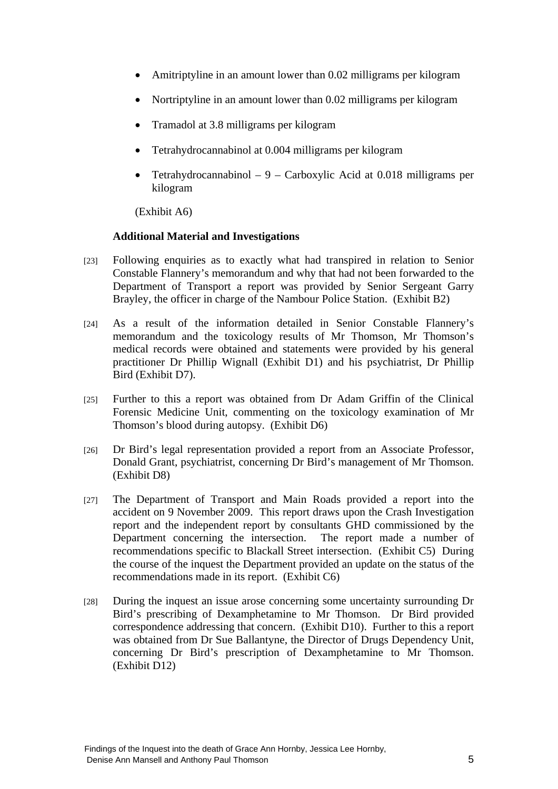- Amitriptyline in an amount lower than 0.02 milligrams per kilogram
- Nortriptyline in an amount lower than 0.02 milligrams per kilogram
- Tramadol at 3.8 milligrams per kilogram
- Tetrahydrocannabinol at 0.004 milligrams per kilogram
- Tetrahydrocannabinol  $-9 -$ Carboxylic Acid at 0.018 milligrams per kilogram

(Exhibit A6)

## **Additional Material and Investigations**

- [23] Following enquiries as to exactly what had transpired in relation to Senior Constable Flannery's memorandum and why that had not been forwarded to the Department of Transport a report was provided by Senior Sergeant Garry Brayley, the officer in charge of the Nambour Police Station. (Exhibit B2)
- [24] As a result of the information detailed in Senior Constable Flannery's memorandum and the toxicology results of Mr Thomson, Mr Thomson's medical records were obtained and statements were provided by his general practitioner Dr Phillip Wignall (Exhibit D1) and his psychiatrist, Dr Phillip Bird (Exhibit D7).
- [25] Further to this a report was obtained from Dr Adam Griffin of the Clinical Forensic Medicine Unit, commenting on the toxicology examination of Mr Thomson's blood during autopsy. (Exhibit D6)
- [26] Dr Bird's legal representation provided a report from an Associate Professor, Donald Grant, psychiatrist, concerning Dr Bird's management of Mr Thomson. (Exhibit D8)
- [27] The Department of Transport and Main Roads provided a report into the accident on 9 November 2009. This report draws upon the Crash Investigation report and the independent report by consultants GHD commissioned by the Department concerning the intersection. The report made a number of recommendations specific to Blackall Street intersection. (Exhibit C5) During the course of the inquest the Department provided an update on the status of the recommendations made in its report. (Exhibit C6)
- [28] During the inquest an issue arose concerning some uncertainty surrounding Dr Bird's prescribing of Dexamphetamine to Mr Thomson. Dr Bird provided correspondence addressing that concern. (Exhibit D10). Further to this a report was obtained from Dr Sue Ballantyne, the Director of Drugs Dependency Unit, concerning Dr Bird's prescription of Dexamphetamine to Mr Thomson. (Exhibit D12)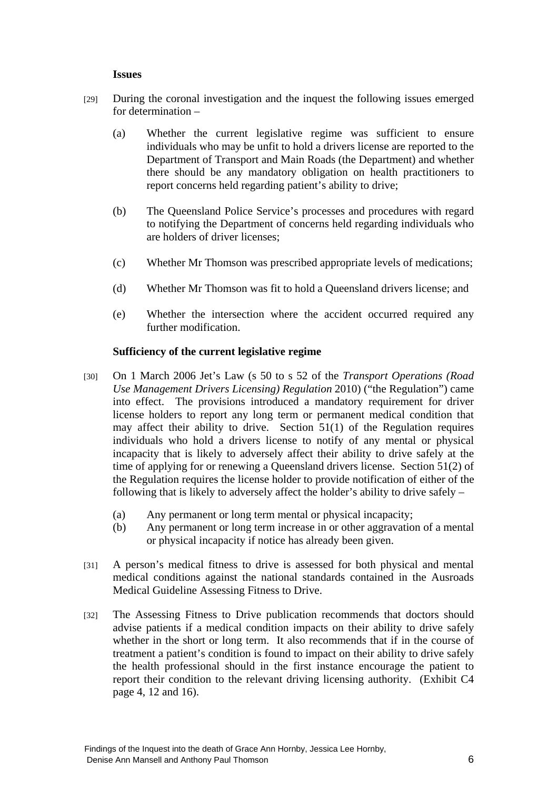## **Issues**

- [29] During the coronal investigation and the inquest the following issues emerged for determination –
	- (a) Whether the current legislative regime was sufficient to ensure individuals who may be unfit to hold a drivers license are reported to the Department of Transport and Main Roads (the Department) and whether there should be any mandatory obligation on health practitioners to report concerns held regarding patient's ability to drive;
	- (b) The Queensland Police Service's processes and procedures with regard to notifying the Department of concerns held regarding individuals who are holders of driver licenses;
	- (c) Whether Mr Thomson was prescribed appropriate levels of medications;
	- (d) Whether Mr Thomson was fit to hold a Queensland drivers license; and
	- (e) Whether the intersection where the accident occurred required any further modification.

## **Sufficiency of the current legislative regime**

- [30] On 1 March 2006 Jet's Law (s 50 to s 52 of the *Transport Operations (Road Use Management Drivers Licensing) Regulation* 2010) ("the Regulation") came into effect. The provisions introduced a mandatory requirement for driver license holders to report any long term or permanent medical condition that may affect their ability to drive. Section 51(1) of the Regulation requires individuals who hold a drivers license to notify of any mental or physical incapacity that is likely to adversely affect their ability to drive safely at the time of applying for or renewing a Queensland drivers license. Section 51(2) of the Regulation requires the license holder to provide notification of either of the following that is likely to adversely affect the holder's ability to drive safely –
	- (a) Any permanent or long term mental or physical incapacity;
	- (b) Any permanent or long term increase in or other aggravation of a mental or physical incapacity if notice has already been given.
- [31] A person's medical fitness to drive is assessed for both physical and mental medical conditions against the national standards contained in the Ausroads Medical Guideline Assessing Fitness to Drive.
- [32] The Assessing Fitness to Drive publication recommends that doctors should advise patients if a medical condition impacts on their ability to drive safely whether in the short or long term. It also recommends that if in the course of treatment a patient's condition is found to impact on their ability to drive safely the health professional should in the first instance encourage the patient to report their condition to the relevant driving licensing authority. (Exhibit C4 page 4, 12 and 16).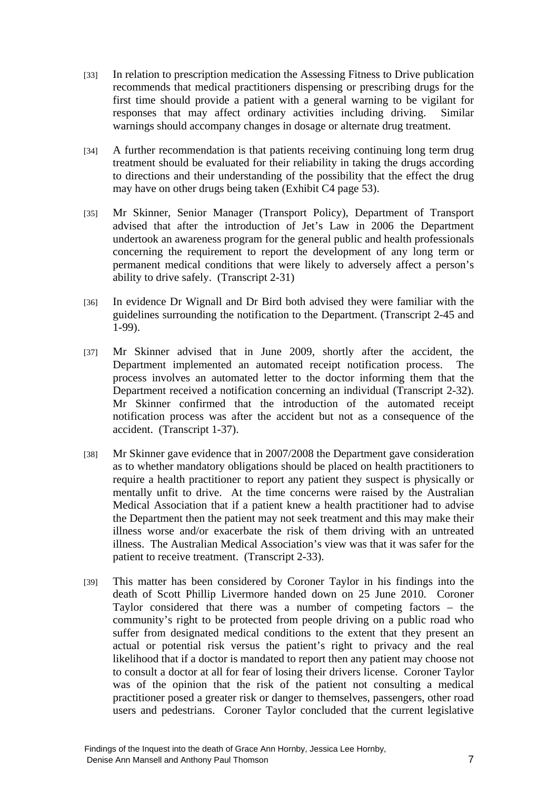- [33] In relation to prescription medication the Assessing Fitness to Drive publication recommends that medical practitioners dispensing or prescribing drugs for the first time should provide a patient with a general warning to be vigilant for responses that may affect ordinary activities including driving. Similar warnings should accompany changes in dosage or alternate drug treatment.
- [34] A further recommendation is that patients receiving continuing long term drug treatment should be evaluated for their reliability in taking the drugs according to directions and their understanding of the possibility that the effect the drug may have on other drugs being taken (Exhibit C4 page 53).
- [35] Mr Skinner, Senior Manager (Transport Policy), Department of Transport advised that after the introduction of Jet's Law in 2006 the Department undertook an awareness program for the general public and health professionals concerning the requirement to report the development of any long term or permanent medical conditions that were likely to adversely affect a person's ability to drive safely. (Transcript 2-31)
- [36] In evidence Dr Wignall and Dr Bird both advised they were familiar with the guidelines surrounding the notification to the Department. (Transcript 2-45 and 1-99).
- [37] Mr Skinner advised that in June 2009, shortly after the accident, the Department implemented an automated receipt notification process. The process involves an automated letter to the doctor informing them that the Department received a notification concerning an individual (Transcript 2-32). Mr Skinner confirmed that the introduction of the automated receipt notification process was after the accident but not as a consequence of the accident. (Transcript 1-37).
- [38] Mr Skinner gave evidence that in 2007/2008 the Department gave consideration as to whether mandatory obligations should be placed on health practitioners to require a health practitioner to report any patient they suspect is physically or mentally unfit to drive. At the time concerns were raised by the Australian Medical Association that if a patient knew a health practitioner had to advise the Department then the patient may not seek treatment and this may make their illness worse and/or exacerbate the risk of them driving with an untreated illness. The Australian Medical Association's view was that it was safer for the patient to receive treatment. (Transcript 2-33).
- [39] This matter has been considered by Coroner Taylor in his findings into the death of Scott Phillip Livermore handed down on 25 June 2010. Coroner Taylor considered that there was a number of competing factors – the community's right to be protected from people driving on a public road who suffer from designated medical conditions to the extent that they present an actual or potential risk versus the patient's right to privacy and the real likelihood that if a doctor is mandated to report then any patient may choose not to consult a doctor at all for fear of losing their drivers license. Coroner Taylor was of the opinion that the risk of the patient not consulting a medical practitioner posed a greater risk or danger to themselves, passengers, other road users and pedestrians. Coroner Taylor concluded that the current legislative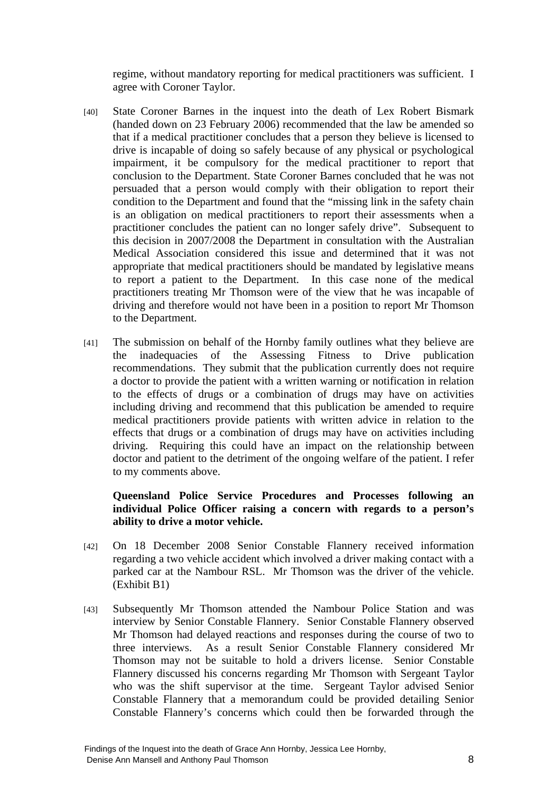regime, without mandatory reporting for medical practitioners was sufficient. I agree with Coroner Taylor.

- [40] State Coroner Barnes in the inquest into the death of Lex Robert Bismark (handed down on 23 February 2006) recommended that the law be amended so that if a medical practitioner concludes that a person they believe is licensed to drive is incapable of doing so safely because of any physical or psychological impairment, it be compulsory for the medical practitioner to report that conclusion to the Department. State Coroner Barnes concluded that he was not persuaded that a person would comply with their obligation to report their condition to the Department and found that the "missing link in the safety chain is an obligation on medical practitioners to report their assessments when a practitioner concludes the patient can no longer safely drive". Subsequent to this decision in 2007/2008 the Department in consultation with the Australian Medical Association considered this issue and determined that it was not appropriate that medical practitioners should be mandated by legislative means to report a patient to the Department. In this case none of the medical practitioners treating Mr Thomson were of the view that he was incapable of driving and therefore would not have been in a position to report Mr Thomson to the Department.
- [41] The submission on behalf of the Hornby family outlines what they believe are the inadequacies of the Assessing Fitness to Drive publication recommendations. They submit that the publication currently does not require a doctor to provide the patient with a written warning or notification in relation to the effects of drugs or a combination of drugs may have on activities including driving and recommend that this publication be amended to require medical practitioners provide patients with written advice in relation to the effects that drugs or a combination of drugs may have on activities including driving. Requiring this could have an impact on the relationship between doctor and patient to the detriment of the ongoing welfare of the patient. I refer to my comments above.

## **Queensland Police Service Procedures and Processes following an individual Police Officer raising a concern with regards to a person's ability to drive a motor vehicle.**

- [42] On 18 December 2008 Senior Constable Flannery received information regarding a two vehicle accident which involved a driver making contact with a parked car at the Nambour RSL. Mr Thomson was the driver of the vehicle. (Exhibit B1)
- [43] Subsequently Mr Thomson attended the Nambour Police Station and was interview by Senior Constable Flannery. Senior Constable Flannery observed Mr Thomson had delayed reactions and responses during the course of two to three interviews. As a result Senior Constable Flannery considered Mr Thomson may not be suitable to hold a drivers license. Senior Constable Flannery discussed his concerns regarding Mr Thomson with Sergeant Taylor who was the shift supervisor at the time. Sergeant Taylor advised Senior Constable Flannery that a memorandum could be provided detailing Senior Constable Flannery's concerns which could then be forwarded through the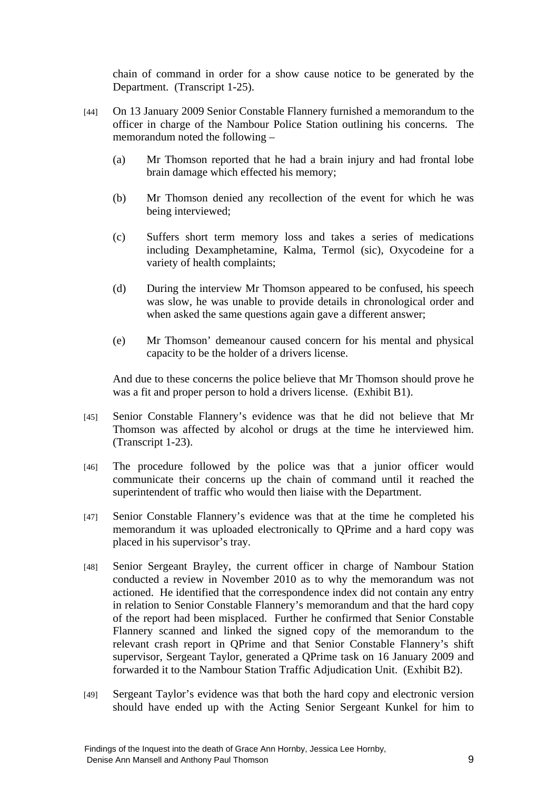chain of command in order for a show cause notice to be generated by the Department. (Transcript 1-25).

- [44] On 13 January 2009 Senior Constable Flannery furnished a memorandum to the officer in charge of the Nambour Police Station outlining his concerns. The memorandum noted the following –
	- (a) Mr Thomson reported that he had a brain injury and had frontal lobe brain damage which effected his memory;
	- (b) Mr Thomson denied any recollection of the event for which he was being interviewed;
	- (c) Suffers short term memory loss and takes a series of medications including Dexamphetamine, Kalma, Termol (sic), Oxycodeine for a variety of health complaints;
	- (d) During the interview Mr Thomson appeared to be confused, his speech was slow, he was unable to provide details in chronological order and when asked the same questions again gave a different answer;
	- (e) Mr Thomson' demeanour caused concern for his mental and physical capacity to be the holder of a drivers license.

And due to these concerns the police believe that Mr Thomson should prove he was a fit and proper person to hold a drivers license. (Exhibit B1).

- [45] Senior Constable Flannery's evidence was that he did not believe that Mr Thomson was affected by alcohol or drugs at the time he interviewed him. (Transcript 1-23).
- [46] The procedure followed by the police was that a junior officer would communicate their concerns up the chain of command until it reached the superintendent of traffic who would then liaise with the Department.
- [47] Senior Constable Flannery's evidence was that at the time he completed his memorandum it was uploaded electronically to QPrime and a hard copy was placed in his supervisor's tray.
- [48] Senior Sergeant Brayley, the current officer in charge of Nambour Station conducted a review in November 2010 as to why the memorandum was not actioned. He identified that the correspondence index did not contain any entry in relation to Senior Constable Flannery's memorandum and that the hard copy of the report had been misplaced. Further he confirmed that Senior Constable Flannery scanned and linked the signed copy of the memorandum to the relevant crash report in QPrime and that Senior Constable Flannery's shift supervisor, Sergeant Taylor, generated a QPrime task on 16 January 2009 and forwarded it to the Nambour Station Traffic Adjudication Unit. (Exhibit B2).
- [49] Sergeant Taylor's evidence was that both the hard copy and electronic version should have ended up with the Acting Senior Sergeant Kunkel for him to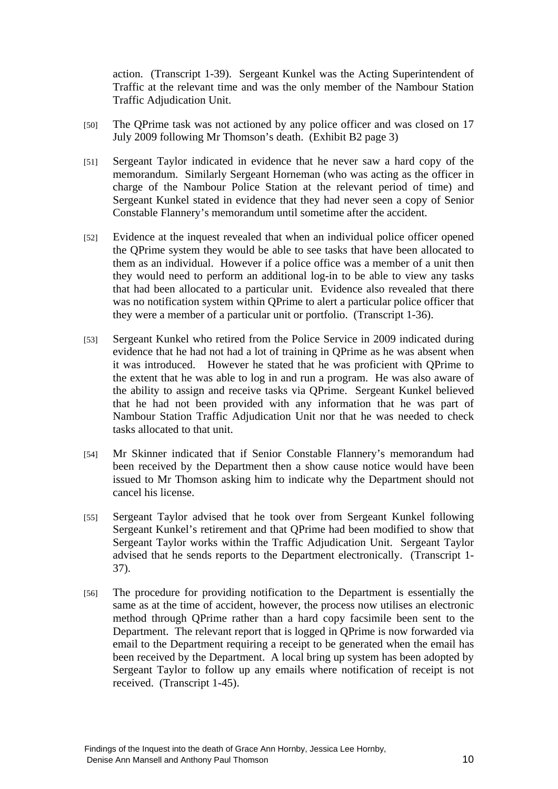action. (Transcript 1-39). Sergeant Kunkel was the Acting Superintendent of Traffic at the relevant time and was the only member of the Nambour Station Traffic Adjudication Unit.

- [50] The QPrime task was not actioned by any police officer and was closed on 17 July 2009 following Mr Thomson's death. (Exhibit B2 page 3)
- [51] Sergeant Taylor indicated in evidence that he never saw a hard copy of the memorandum. Similarly Sergeant Horneman (who was acting as the officer in charge of the Nambour Police Station at the relevant period of time) and Sergeant Kunkel stated in evidence that they had never seen a copy of Senior Constable Flannery's memorandum until sometime after the accident.
- [52] Evidence at the inquest revealed that when an individual police officer opened the QPrime system they would be able to see tasks that have been allocated to them as an individual. However if a police office was a member of a unit then they would need to perform an additional log-in to be able to view any tasks that had been allocated to a particular unit. Evidence also revealed that there was no notification system within QPrime to alert a particular police officer that they were a member of a particular unit or portfolio. (Transcript 1-36).
- [53] Sergeant Kunkel who retired from the Police Service in 2009 indicated during evidence that he had not had a lot of training in QPrime as he was absent when it was introduced. However he stated that he was proficient with QPrime to the extent that he was able to log in and run a program. He was also aware of the ability to assign and receive tasks via QPrime. Sergeant Kunkel believed that he had not been provided with any information that he was part of Nambour Station Traffic Adjudication Unit nor that he was needed to check tasks allocated to that unit.
- [54] Mr Skinner indicated that if Senior Constable Flannery's memorandum had been received by the Department then a show cause notice would have been issued to Mr Thomson asking him to indicate why the Department should not cancel his license.
- [55] Sergeant Taylor advised that he took over from Sergeant Kunkel following Sergeant Kunkel's retirement and that QPrime had been modified to show that Sergeant Taylor works within the Traffic Adjudication Unit. Sergeant Taylor advised that he sends reports to the Department electronically. (Transcript 1- 37).
- [56] The procedure for providing notification to the Department is essentially the same as at the time of accident, however, the process now utilises an electronic method through QPrime rather than a hard copy facsimile been sent to the Department. The relevant report that is logged in QPrime is now forwarded via email to the Department requiring a receipt to be generated when the email has been received by the Department. A local bring up system has been adopted by Sergeant Taylor to follow up any emails where notification of receipt is not received. (Transcript 1-45).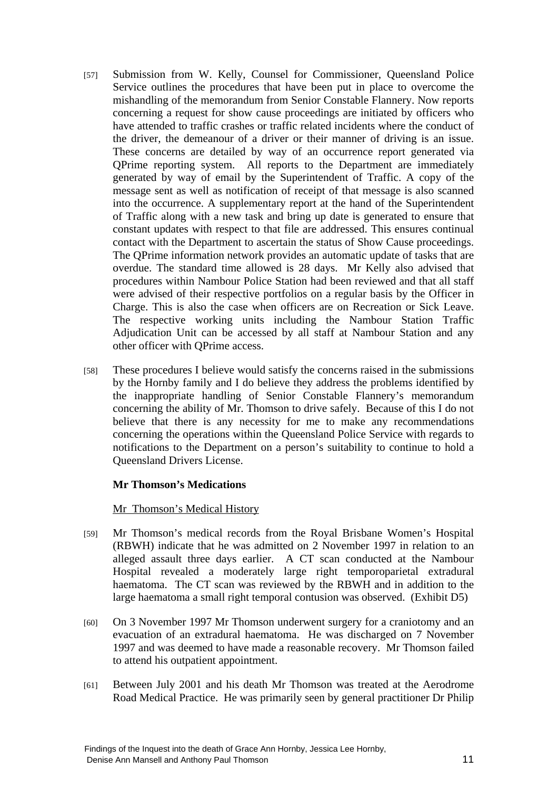- [57] Submission from W. Kelly, Counsel for Commissioner, Queensland Police Service outlines the procedures that have been put in place to overcome the mishandling of the memorandum from Senior Constable Flannery. Now reports concerning a request for show cause proceedings are initiated by officers who have attended to traffic crashes or traffic related incidents where the conduct of the driver, the demeanour of a driver or their manner of driving is an issue. These concerns are detailed by way of an occurrence report generated via QPrime reporting system. All reports to the Department are immediately generated by way of email by the Superintendent of Traffic. A copy of the message sent as well as notification of receipt of that message is also scanned into the occurrence. A supplementary report at the hand of the Superintendent of Traffic along with a new task and bring up date is generated to ensure that constant updates with respect to that file are addressed. This ensures continual contact with the Department to ascertain the status of Show Cause proceedings. The QPrime information network provides an automatic update of tasks that are overdue. The standard time allowed is 28 days. Mr Kelly also advised that procedures within Nambour Police Station had been reviewed and that all staff were advised of their respective portfolios on a regular basis by the Officer in Charge. This is also the case when officers are on Recreation or Sick Leave. The respective working units including the Nambour Station Traffic Adjudication Unit can be accessed by all staff at Nambour Station and any other officer with QPrime access.
- [58] These procedures I believe would satisfy the concerns raised in the submissions by the Hornby family and I do believe they address the problems identified by the inappropriate handling of Senior Constable Flannery's memorandum concerning the ability of Mr. Thomson to drive safely. Because of this I do not believe that there is any necessity for me to make any recommendations concerning the operations within the Queensland Police Service with regards to notifications to the Department on a person's suitability to continue to hold a Queensland Drivers License.

## **Mr Thomson's Medications**

## Mr Thomson's Medical History

- [59] Mr Thomson's medical records from the Royal Brisbane Women's Hospital (RBWH) indicate that he was admitted on 2 November 1997 in relation to an alleged assault three days earlier. A CT scan conducted at the Nambour Hospital revealed a moderately large right temporoparietal extradural haematoma. The CT scan was reviewed by the RBWH and in addition to the large haematoma a small right temporal contusion was observed. (Exhibit D5)
- [60] On 3 November 1997 Mr Thomson underwent surgery for a craniotomy and an evacuation of an extradural haematoma. He was discharged on 7 November 1997 and was deemed to have made a reasonable recovery. Mr Thomson failed to attend his outpatient appointment.
- [61] Between July 2001 and his death Mr Thomson was treated at the Aerodrome Road Medical Practice. He was primarily seen by general practitioner Dr Philip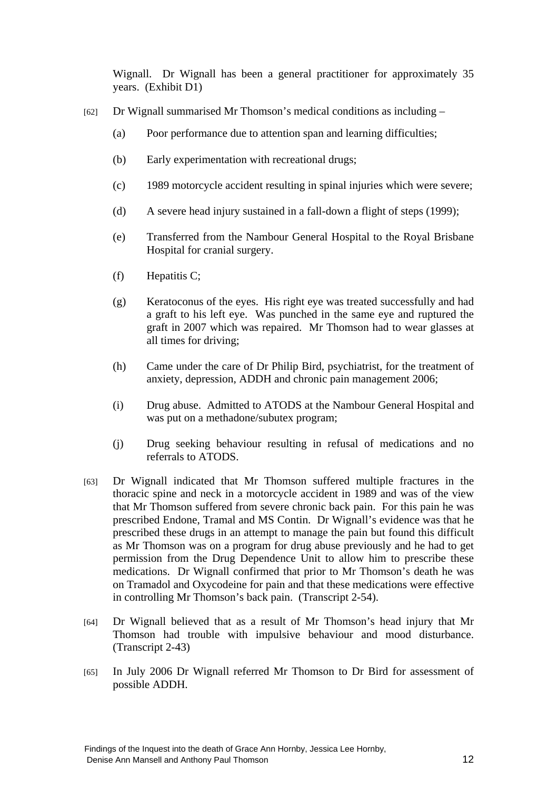Wignall. Dr Wignall has been a general practitioner for approximately 35 years. (Exhibit D1)

- [62] Dr Wignall summarised Mr Thomson's medical conditions as including
	- (a) Poor performance due to attention span and learning difficulties;
	- (b) Early experimentation with recreational drugs;
	- (c) 1989 motorcycle accident resulting in spinal injuries which were severe;
	- (d) A severe head injury sustained in a fall-down a flight of steps (1999);
	- (e) Transferred from the Nambour General Hospital to the Royal Brisbane Hospital for cranial surgery.
	- (f) Hepatitis C;
	- (g) Keratoconus of the eyes. His right eye was treated successfully and had a graft to his left eye. Was punched in the same eye and ruptured the graft in 2007 which was repaired. Mr Thomson had to wear glasses at all times for driving;
	- (h) Came under the care of Dr Philip Bird, psychiatrist, for the treatment of anxiety, depression, ADDH and chronic pain management 2006;
	- (i) Drug abuse. Admitted to ATODS at the Nambour General Hospital and was put on a methadone/subutex program;
	- (j) Drug seeking behaviour resulting in refusal of medications and no referrals to ATODS.
- [63] Dr Wignall indicated that Mr Thomson suffered multiple fractures in the thoracic spine and neck in a motorcycle accident in 1989 and was of the view that Mr Thomson suffered from severe chronic back pain. For this pain he was prescribed Endone, Tramal and MS Contin. Dr Wignall's evidence was that he prescribed these drugs in an attempt to manage the pain but found this difficult as Mr Thomson was on a program for drug abuse previously and he had to get permission from the Drug Dependence Unit to allow him to prescribe these medications. Dr Wignall confirmed that prior to Mr Thomson's death he was on Tramadol and Oxycodeine for pain and that these medications were effective in controlling Mr Thomson's back pain. (Transcript 2-54).
- [64] Dr Wignall believed that as a result of Mr Thomson's head injury that Mr Thomson had trouble with impulsive behaviour and mood disturbance. (Transcript 2-43)
- [65] In July 2006 Dr Wignall referred Mr Thomson to Dr Bird for assessment of possible ADDH.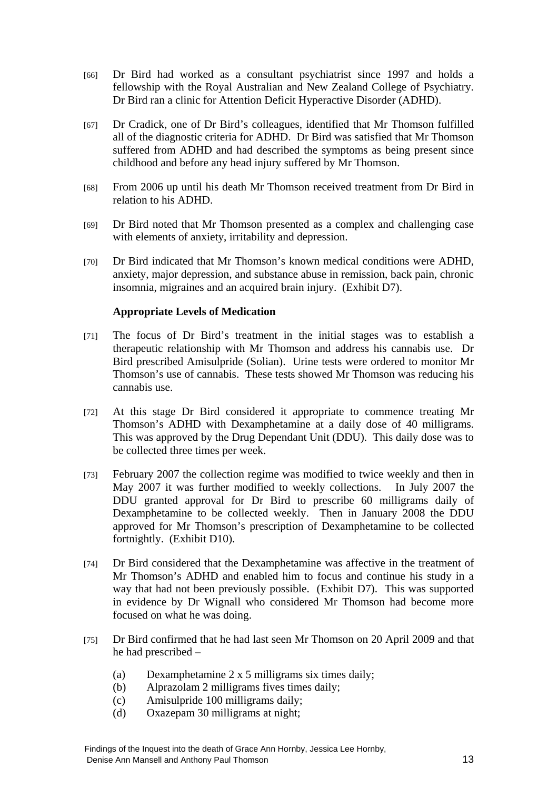- [66] Dr Bird had worked as a consultant psychiatrist since 1997 and holds a fellowship with the Royal Australian and New Zealand College of Psychiatry. Dr Bird ran a clinic for Attention Deficit Hyperactive Disorder (ADHD).
- [67] Dr Cradick, one of Dr Bird's colleagues, identified that Mr Thomson fulfilled all of the diagnostic criteria for ADHD. Dr Bird was satisfied that Mr Thomson suffered from ADHD and had described the symptoms as being present since childhood and before any head injury suffered by Mr Thomson.
- [68] From 2006 up until his death Mr Thomson received treatment from Dr Bird in relation to his ADHD.
- [69] Dr Bird noted that Mr Thomson presented as a complex and challenging case with elements of anxiety, irritability and depression.
- [70] Dr Bird indicated that Mr Thomson's known medical conditions were ADHD, anxiety, major depression, and substance abuse in remission, back pain, chronic insomnia, migraines and an acquired brain injury. (Exhibit D7).

## **Appropriate Levels of Medication**

- [71] The focus of Dr Bird's treatment in the initial stages was to establish a therapeutic relationship with Mr Thomson and address his cannabis use. Dr Bird prescribed Amisulpride (Solian). Urine tests were ordered to monitor Mr Thomson's use of cannabis. These tests showed Mr Thomson was reducing his cannabis use.
- [72] At this stage Dr Bird considered it appropriate to commence treating Mr Thomson's ADHD with Dexamphetamine at a daily dose of 40 milligrams. This was approved by the Drug Dependant Unit (DDU). This daily dose was to be collected three times per week.
- [73] February 2007 the collection regime was modified to twice weekly and then in May 2007 it was further modified to weekly collections. In July 2007 the DDU granted approval for Dr Bird to prescribe 60 milligrams daily of Dexamphetamine to be collected weekly. Then in January 2008 the DDU approved for Mr Thomson's prescription of Dexamphetamine to be collected fortnightly. (Exhibit D10).
- [74] Dr Bird considered that the Dexamphetamine was affective in the treatment of Mr Thomson's ADHD and enabled him to focus and continue his study in a way that had not been previously possible. (Exhibit D7). This was supported in evidence by Dr Wignall who considered Mr Thomson had become more focused on what he was doing.
- [75] Dr Bird confirmed that he had last seen Mr Thomson on 20 April 2009 and that he had prescribed –
	- (a) Dexamphetamine 2 x 5 milligrams six times daily;
	- (b) Alprazolam 2 milligrams fives times daily;
	- (c) Amisulpride 100 milligrams daily;
	- (d) Oxazepam 30 milligrams at night;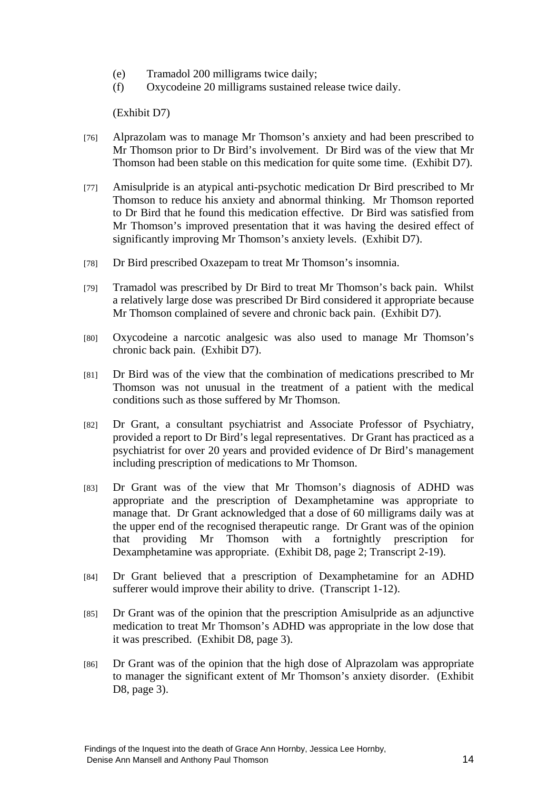- (e) Tramadol 200 milligrams twice daily;
- (f) Oxycodeine 20 milligrams sustained release twice daily.

(Exhibit D7)

- [76] Alprazolam was to manage Mr Thomson's anxiety and had been prescribed to Mr Thomson prior to Dr Bird's involvement. Dr Bird was of the view that Mr Thomson had been stable on this medication for quite some time. (Exhibit D7).
- [77] Amisulpride is an atypical anti-psychotic medication Dr Bird prescribed to Mr Thomson to reduce his anxiety and abnormal thinking. Mr Thomson reported to Dr Bird that he found this medication effective. Dr Bird was satisfied from Mr Thomson's improved presentation that it was having the desired effect of significantly improving Mr Thomson's anxiety levels. (Exhibit D7).
- [78] Dr Bird prescribed Oxazepam to treat Mr Thomson's insomnia.
- [79] Tramadol was prescribed by Dr Bird to treat Mr Thomson's back pain. Whilst a relatively large dose was prescribed Dr Bird considered it appropriate because Mr Thomson complained of severe and chronic back pain. (Exhibit D7).
- [80] Oxycodeine a narcotic analgesic was also used to manage Mr Thomson's chronic back pain. (Exhibit D7).
- [81] Dr Bird was of the view that the combination of medications prescribed to Mr Thomson was not unusual in the treatment of a patient with the medical conditions such as those suffered by Mr Thomson.
- [82] Dr Grant, a consultant psychiatrist and Associate Professor of Psychiatry, provided a report to Dr Bird's legal representatives. Dr Grant has practiced as a psychiatrist for over 20 years and provided evidence of Dr Bird's management including prescription of medications to Mr Thomson.
- [83] Dr Grant was of the view that Mr Thomson's diagnosis of ADHD was appropriate and the prescription of Dexamphetamine was appropriate to manage that. Dr Grant acknowledged that a dose of 60 milligrams daily was at the upper end of the recognised therapeutic range. Dr Grant was of the opinion that providing Mr Thomson with a fortnightly prescription for Dexamphetamine was appropriate. (Exhibit D8, page 2; Transcript 2-19).
- [84] Dr Grant believed that a prescription of Dexamphetamine for an ADHD sufferer would improve their ability to drive. (Transcript 1-12).
- [85] Dr Grant was of the opinion that the prescription Amisulpride as an adjunctive medication to treat Mr Thomson's ADHD was appropriate in the low dose that it was prescribed. (Exhibit D8, page 3).
- [86] Dr Grant was of the opinion that the high dose of Alprazolam was appropriate to manager the significant extent of Mr Thomson's anxiety disorder. (Exhibit D8, page 3).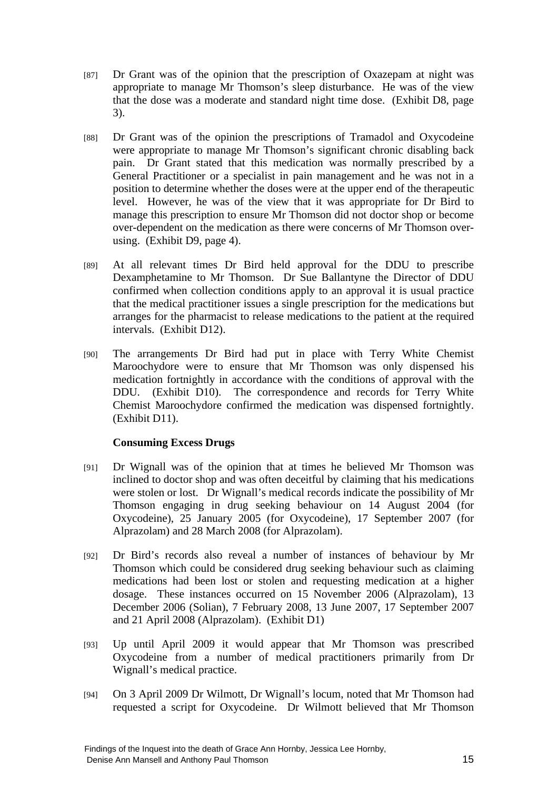- [87] Dr Grant was of the opinion that the prescription of Oxazepam at night was appropriate to manage Mr Thomson's sleep disturbance. He was of the view that the dose was a moderate and standard night time dose. (Exhibit D8, page 3).
- [88] Dr Grant was of the opinion the prescriptions of Tramadol and Oxycodeine were appropriate to manage Mr Thomson's significant chronic disabling back pain. Dr Grant stated that this medication was normally prescribed by a General Practitioner or a specialist in pain management and he was not in a position to determine whether the doses were at the upper end of the therapeutic level. However, he was of the view that it was appropriate for Dr Bird to manage this prescription to ensure Mr Thomson did not doctor shop or become over-dependent on the medication as there were concerns of Mr Thomson overusing. (Exhibit D9, page 4).
- [89] At all relevant times Dr Bird held approval for the DDU to prescribe Dexamphetamine to Mr Thomson. Dr Sue Ballantyne the Director of DDU confirmed when collection conditions apply to an approval it is usual practice that the medical practitioner issues a single prescription for the medications but arranges for the pharmacist to release medications to the patient at the required intervals. (Exhibit D12).
- [90] The arrangements Dr Bird had put in place with Terry White Chemist Maroochydore were to ensure that Mr Thomson was only dispensed his medication fortnightly in accordance with the conditions of approval with the DDU. (Exhibit D10). The correspondence and records for Terry White Chemist Maroochydore confirmed the medication was dispensed fortnightly. (Exhibit D11).

## **Consuming Excess Drugs**

- [91] Dr Wignall was of the opinion that at times he believed Mr Thomson was inclined to doctor shop and was often deceitful by claiming that his medications were stolen or lost. Dr Wignall's medical records indicate the possibility of Mr Thomson engaging in drug seeking behaviour on 14 August 2004 (for Oxycodeine), 25 January 2005 (for Oxycodeine), 17 September 2007 (for Alprazolam) and 28 March 2008 (for Alprazolam).
- [92] Dr Bird's records also reveal a number of instances of behaviour by Mr Thomson which could be considered drug seeking behaviour such as claiming medications had been lost or stolen and requesting medication at a higher dosage. These instances occurred on 15 November 2006 (Alprazolam), 13 December 2006 (Solian), 7 February 2008, 13 June 2007, 17 September 2007 and 21 April 2008 (Alprazolam). (Exhibit D1)
- [93] Up until April 2009 it would appear that Mr Thomson was prescribed Oxycodeine from a number of medical practitioners primarily from Dr Wignall's medical practice.
- [94] On 3 April 2009 Dr Wilmott, Dr Wignall's locum, noted that Mr Thomson had requested a script for Oxycodeine. Dr Wilmott believed that Mr Thomson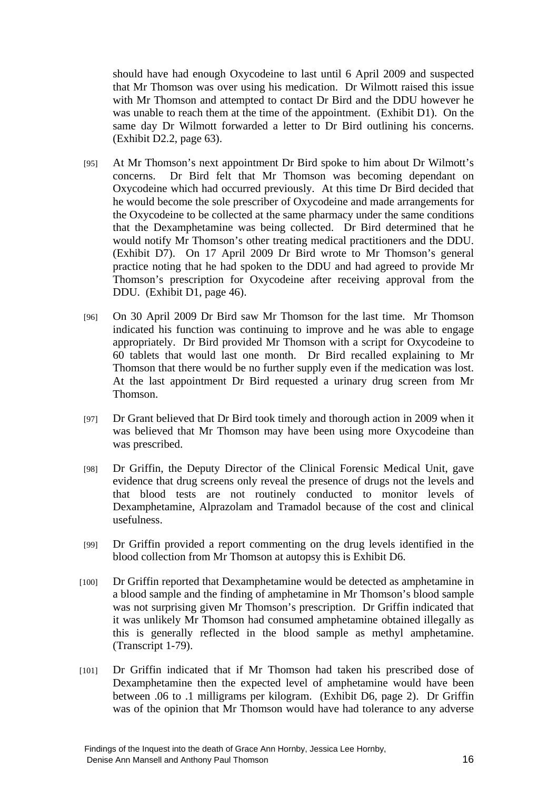should have had enough Oxycodeine to last until 6 April 2009 and suspected that Mr Thomson was over using his medication. Dr Wilmott raised this issue with Mr Thomson and attempted to contact Dr Bird and the DDU however he was unable to reach them at the time of the appointment. (Exhibit D1). On the same day Dr Wilmott forwarded a letter to Dr Bird outlining his concerns. (Exhibit D2.2, page 63).

- [95] At Mr Thomson's next appointment Dr Bird spoke to him about Dr Wilmott's concerns. Dr Bird felt that Mr Thomson was becoming dependant on Oxycodeine which had occurred previously. At this time Dr Bird decided that he would become the sole prescriber of Oxycodeine and made arrangements for the Oxycodeine to be collected at the same pharmacy under the same conditions that the Dexamphetamine was being collected. Dr Bird determined that he would notify Mr Thomson's other treating medical practitioners and the DDU. (Exhibit D7). On 17 April 2009 Dr Bird wrote to Mr Thomson's general practice noting that he had spoken to the DDU and had agreed to provide Mr Thomson's prescription for Oxycodeine after receiving approval from the DDU. (Exhibit D1, page 46).
- [96] On 30 April 2009 Dr Bird saw Mr Thomson for the last time. Mr Thomson indicated his function was continuing to improve and he was able to engage appropriately. Dr Bird provided Mr Thomson with a script for Oxycodeine to 60 tablets that would last one month. Dr Bird recalled explaining to Mr Thomson that there would be no further supply even if the medication was lost. At the last appointment Dr Bird requested a urinary drug screen from Mr Thomson.
- [97] Dr Grant believed that Dr Bird took timely and thorough action in 2009 when it was believed that Mr Thomson may have been using more Oxycodeine than was prescribed.
- [98] Dr Griffin, the Deputy Director of the Clinical Forensic Medical Unit, gave evidence that drug screens only reveal the presence of drugs not the levels and that blood tests are not routinely conducted to monitor levels of Dexamphetamine, Alprazolam and Tramadol because of the cost and clinical usefulness.
- [99] Dr Griffin provided a report commenting on the drug levels identified in the blood collection from Mr Thomson at autopsy this is Exhibit D6.
- [100] Dr Griffin reported that Dexamphetamine would be detected as amphetamine in a blood sample and the finding of amphetamine in Mr Thomson's blood sample was not surprising given Mr Thomson's prescription. Dr Griffin indicated that it was unlikely Mr Thomson had consumed amphetamine obtained illegally as this is generally reflected in the blood sample as methyl amphetamine. (Transcript 1-79).
- [101] Dr Griffin indicated that if Mr Thomson had taken his prescribed dose of Dexamphetamine then the expected level of amphetamine would have been between .06 to .1 milligrams per kilogram. (Exhibit D6, page 2). Dr Griffin was of the opinion that Mr Thomson would have had tolerance to any adverse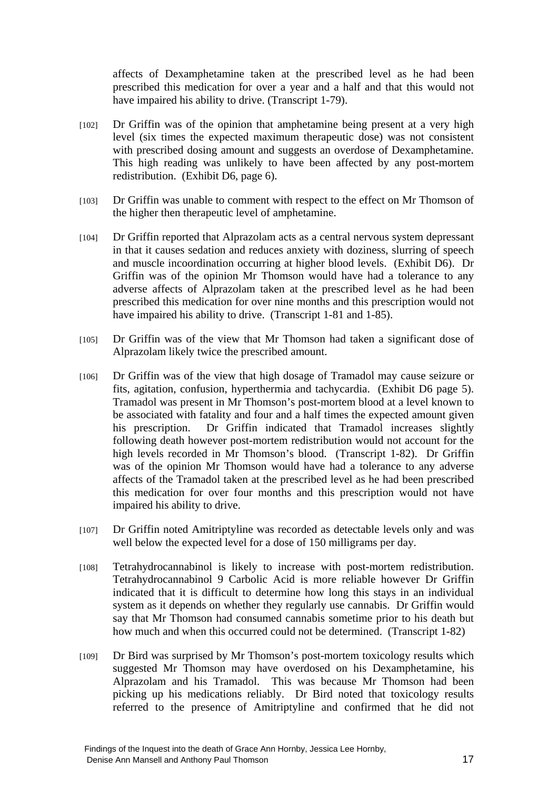affects of Dexamphetamine taken at the prescribed level as he had been prescribed this medication for over a year and a half and that this would not have impaired his ability to drive. (Transcript 1-79).

- [102] Dr Griffin was of the opinion that amphetamine being present at a very high level (six times the expected maximum therapeutic dose) was not consistent with prescribed dosing amount and suggests an overdose of Dexamphetamine. This high reading was unlikely to have been affected by any post-mortem redistribution. (Exhibit D6, page 6).
- [103] Dr Griffin was unable to comment with respect to the effect on Mr Thomson of the higher then therapeutic level of amphetamine.
- [104] Dr Griffin reported that Alprazolam acts as a central nervous system depressant in that it causes sedation and reduces anxiety with doziness, slurring of speech and muscle incoordination occurring at higher blood levels. (Exhibit D6). Dr Griffin was of the opinion Mr Thomson would have had a tolerance to any adverse affects of Alprazolam taken at the prescribed level as he had been prescribed this medication for over nine months and this prescription would not have impaired his ability to drive. (Transcript 1-81 and 1-85).
- [105] Dr Griffin was of the view that Mr Thomson had taken a significant dose of Alprazolam likely twice the prescribed amount.
- [106] Dr Griffin was of the view that high dosage of Tramadol may cause seizure or fits, agitation, confusion, hyperthermia and tachycardia. (Exhibit D6 page 5). Tramadol was present in Mr Thomson's post-mortem blood at a level known to be associated with fatality and four and a half times the expected amount given his prescription. Dr Griffin indicated that Tramadol increases slightly following death however post-mortem redistribution would not account for the high levels recorded in Mr Thomson's blood. (Transcript 1-82). Dr Griffin was of the opinion Mr Thomson would have had a tolerance to any adverse affects of the Tramadol taken at the prescribed level as he had been prescribed this medication for over four months and this prescription would not have impaired his ability to drive.
- [107] Dr Griffin noted Amitriptyline was recorded as detectable levels only and was well below the expected level for a dose of 150 milligrams per day.
- [108] Tetrahydrocannabinol is likely to increase with post-mortem redistribution. Tetrahydrocannabinol 9 Carbolic Acid is more reliable however Dr Griffin indicated that it is difficult to determine how long this stays in an individual system as it depends on whether they regularly use cannabis. Dr Griffin would say that Mr Thomson had consumed cannabis sometime prior to his death but how much and when this occurred could not be determined. (Transcript 1-82)
- [109] Dr Bird was surprised by Mr Thomson's post-mortem toxicology results which suggested Mr Thomson may have overdosed on his Dexamphetamine, his Alprazolam and his Tramadol. This was because Mr Thomson had been picking up his medications reliably. Dr Bird noted that toxicology results referred to the presence of Amitriptyline and confirmed that he did not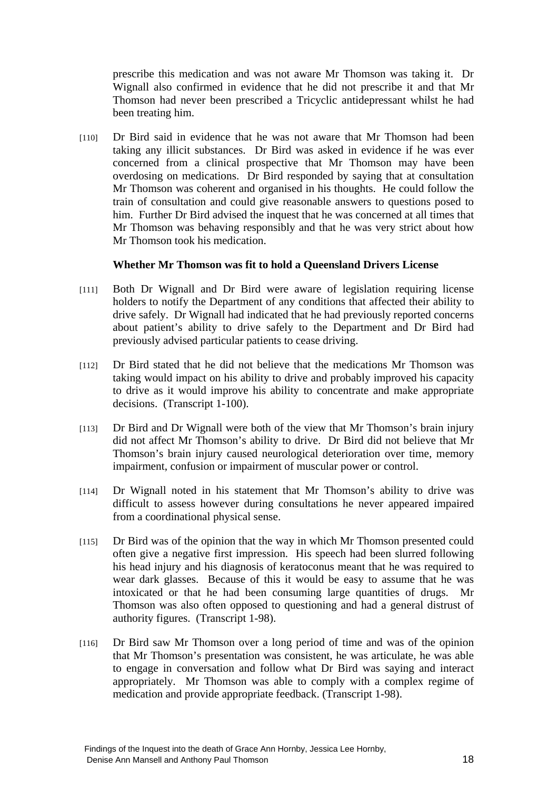prescribe this medication and was not aware Mr Thomson was taking it. Dr Wignall also confirmed in evidence that he did not prescribe it and that Mr Thomson had never been prescribed a Tricyclic antidepressant whilst he had been treating him.

[110] Dr Bird said in evidence that he was not aware that Mr Thomson had been taking any illicit substances. Dr Bird was asked in evidence if he was ever concerned from a clinical prospective that Mr Thomson may have been overdosing on medications. Dr Bird responded by saying that at consultation Mr Thomson was coherent and organised in his thoughts. He could follow the train of consultation and could give reasonable answers to questions posed to him. Further Dr Bird advised the inquest that he was concerned at all times that Mr Thomson was behaving responsibly and that he was very strict about how Mr Thomson took his medication.

#### **Whether Mr Thomson was fit to hold a Queensland Drivers License**

- [111] Both Dr Wignall and Dr Bird were aware of legislation requiring license holders to notify the Department of any conditions that affected their ability to drive safely. Dr Wignall had indicated that he had previously reported concerns about patient's ability to drive safely to the Department and Dr Bird had previously advised particular patients to cease driving.
- [112] Dr Bird stated that he did not believe that the medications Mr Thomson was taking would impact on his ability to drive and probably improved his capacity to drive as it would improve his ability to concentrate and make appropriate decisions. (Transcript 1-100).
- [113] Dr Bird and Dr Wignall were both of the view that Mr Thomson's brain injury did not affect Mr Thomson's ability to drive. Dr Bird did not believe that Mr Thomson's brain injury caused neurological deterioration over time, memory impairment, confusion or impairment of muscular power or control.
- [114] Dr Wignall noted in his statement that Mr Thomson's ability to drive was difficult to assess however during consultations he never appeared impaired from a coordinational physical sense.
- [115] Dr Bird was of the opinion that the way in which Mr Thomson presented could often give a negative first impression. His speech had been slurred following his head injury and his diagnosis of keratoconus meant that he was required to wear dark glasses. Because of this it would be easy to assume that he was intoxicated or that he had been consuming large quantities of drugs. Mr Thomson was also often opposed to questioning and had a general distrust of authority figures. (Transcript 1-98).
- [116] Dr Bird saw Mr Thomson over a long period of time and was of the opinion that Mr Thomson's presentation was consistent, he was articulate, he was able to engage in conversation and follow what Dr Bird was saying and interact appropriately. Mr Thomson was able to comply with a complex regime of medication and provide appropriate feedback. (Transcript 1-98).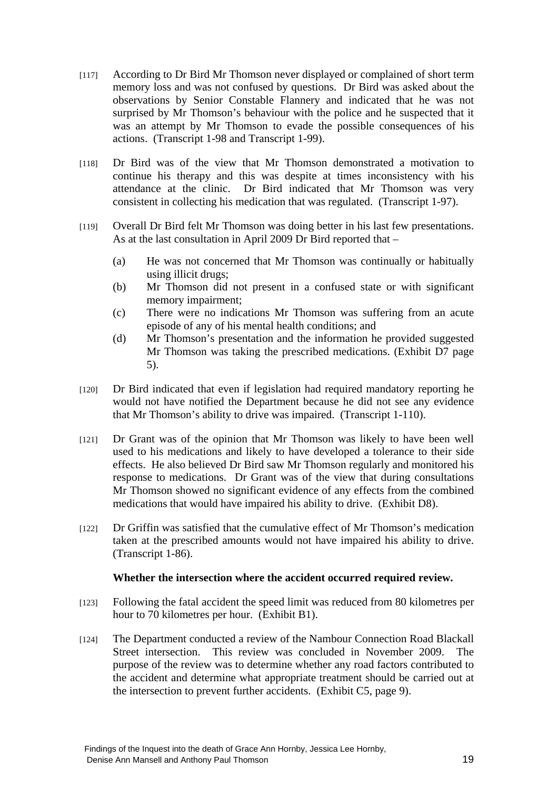- [117] According to Dr Bird Mr Thomson never displayed or complained of short term memory loss and was not confused by questions. Dr Bird was asked about the observations by Senior Constable Flannery and indicated that he was not surprised by Mr Thomson's behaviour with the police and he suspected that it was an attempt by Mr Thomson to evade the possible consequences of his actions. (Transcript 1-98 and Transcript 1-99).
- [118] Dr Bird was of the view that Mr Thomson demonstrated a motivation to continue his therapy and this was despite at times inconsistency with his attendance at the clinic. Dr Bird indicated that Mr Thomson was very consistent in collecting his medication that was regulated. (Transcript 1-97).
- [119] Overall Dr Bird felt Mr Thomson was doing better in his last few presentations. As at the last consultation in April 2009 Dr Bird reported that –
	- (a) He was not concerned that Mr Thomson was continually or habitually using illicit drugs;
	- (b) Mr Thomson did not present in a confused state or with significant memory impairment;
	- (c) There were no indications Mr Thomson was suffering from an acute episode of any of his mental health conditions; and
	- (d) Mr Thomson's presentation and the information he provided suggested Mr Thomson was taking the prescribed medications. (Exhibit D7 page 5).
- [120] Dr Bird indicated that even if legislation had required mandatory reporting he would not have notified the Department because he did not see any evidence that Mr Thomson's ability to drive was impaired. (Transcript 1-110).
- [121] Dr Grant was of the opinion that Mr Thomson was likely to have been well used to his medications and likely to have developed a tolerance to their side effects. He also believed Dr Bird saw Mr Thomson regularly and monitored his response to medications. Dr Grant was of the view that during consultations Mr Thomson showed no significant evidence of any effects from the combined medications that would have impaired his ability to drive. (Exhibit D8).
- [122] Dr Griffin was satisfied that the cumulative effect of Mr Thomson's medication taken at the prescribed amounts would not have impaired his ability to drive. (Transcript 1-86).

## **Whether the intersection where the accident occurred required review.**

- [123] Following the fatal accident the speed limit was reduced from 80 kilometres per hour to 70 kilometres per hour. (Exhibit B1).
- [124] The Department conducted a review of the Nambour Connection Road Blackall Street intersection. This review was concluded in November 2009. The purpose of the review was to determine whether any road factors contributed to the accident and determine what appropriate treatment should be carried out at the intersection to prevent further accidents. (Exhibit C5, page 9).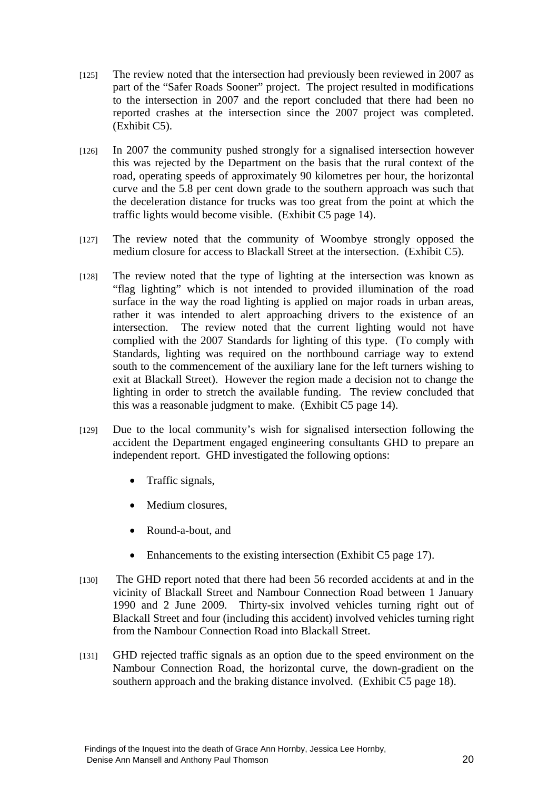- [125] The review noted that the intersection had previously been reviewed in 2007 as part of the "Safer Roads Sooner" project. The project resulted in modifications to the intersection in 2007 and the report concluded that there had been no reported crashes at the intersection since the 2007 project was completed. (Exhibit C5).
- [126] In 2007 the community pushed strongly for a signalised intersection however this was rejected by the Department on the basis that the rural context of the road, operating speeds of approximately 90 kilometres per hour, the horizontal curve and the 5.8 per cent down grade to the southern approach was such that the deceleration distance for trucks was too great from the point at which the traffic lights would become visible. (Exhibit C5 page 14).
- [127] The review noted that the community of Woombye strongly opposed the medium closure for access to Blackall Street at the intersection. (Exhibit C5).
- [128] The review noted that the type of lighting at the intersection was known as "flag lighting" which is not intended to provided illumination of the road surface in the way the road lighting is applied on major roads in urban areas, rather it was intended to alert approaching drivers to the existence of an intersection. The review noted that the current lighting would not have complied with the 2007 Standards for lighting of this type. (To comply with Standards, lighting was required on the northbound carriage way to extend south to the commencement of the auxiliary lane for the left turners wishing to exit at Blackall Street). However the region made a decision not to change the lighting in order to stretch the available funding. The review concluded that this was a reasonable judgment to make. (Exhibit C5 page 14).
- [129] Due to the local community's wish for signalised intersection following the accident the Department engaged engineering consultants GHD to prepare an independent report. GHD investigated the following options:
	- Traffic signals,
	- Medium closures.
	- Round-a-bout, and
	- Enhancements to the existing intersection (Exhibit C5 page 17).
- [130] The GHD report noted that there had been 56 recorded accidents at and in the vicinity of Blackall Street and Nambour Connection Road between 1 January 1990 and 2 June 2009. Thirty-six involved vehicles turning right out of Blackall Street and four (including this accident) involved vehicles turning right from the Nambour Connection Road into Blackall Street.
- [131] GHD rejected traffic signals as an option due to the speed environment on the Nambour Connection Road, the horizontal curve, the down-gradient on the southern approach and the braking distance involved. (Exhibit C5 page 18).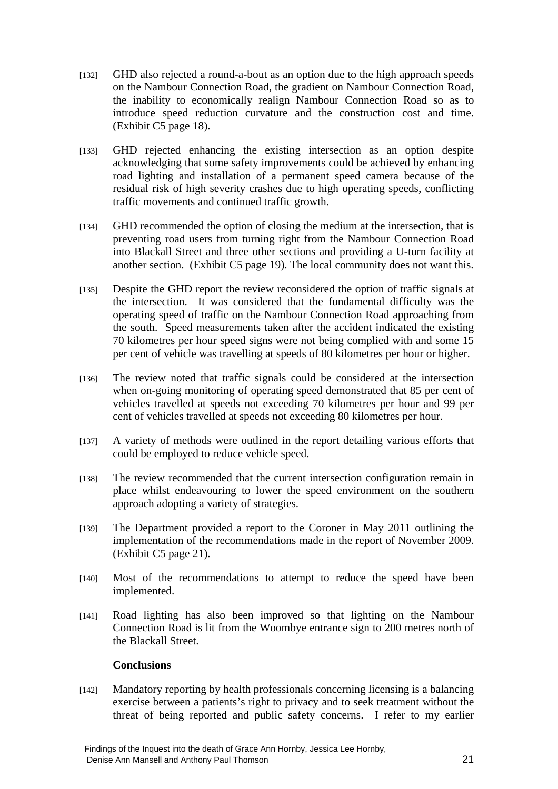- [132] GHD also rejected a round-a-bout as an option due to the high approach speeds on the Nambour Connection Road, the gradient on Nambour Connection Road, the inability to economically realign Nambour Connection Road so as to introduce speed reduction curvature and the construction cost and time. (Exhibit C5 page 18).
- [133] GHD rejected enhancing the existing intersection as an option despite acknowledging that some safety improvements could be achieved by enhancing road lighting and installation of a permanent speed camera because of the residual risk of high severity crashes due to high operating speeds, conflicting traffic movements and continued traffic growth.
- [134] GHD recommended the option of closing the medium at the intersection, that is preventing road users from turning right from the Nambour Connection Road into Blackall Street and three other sections and providing a U-turn facility at another section. (Exhibit C5 page 19). The local community does not want this.
- [135] Despite the GHD report the review reconsidered the option of traffic signals at the intersection. It was considered that the fundamental difficulty was the operating speed of traffic on the Nambour Connection Road approaching from the south. Speed measurements taken after the accident indicated the existing 70 kilometres per hour speed signs were not being complied with and some 15 per cent of vehicle was travelling at speeds of 80 kilometres per hour or higher.
- [136] The review noted that traffic signals could be considered at the intersection when on-going monitoring of operating speed demonstrated that 85 per cent of vehicles travelled at speeds not exceeding 70 kilometres per hour and 99 per cent of vehicles travelled at speeds not exceeding 80 kilometres per hour.
- [137] A variety of methods were outlined in the report detailing various efforts that could be employed to reduce vehicle speed.
- [138] The review recommended that the current intersection configuration remain in place whilst endeavouring to lower the speed environment on the southern approach adopting a variety of strategies.
- [139] The Department provided a report to the Coroner in May 2011 outlining the implementation of the recommendations made in the report of November 2009. (Exhibit C5 page 21).
- [140] Most of the recommendations to attempt to reduce the speed have been implemented.
- [141] Road lighting has also been improved so that lighting on the Nambour Connection Road is lit from the Woombye entrance sign to 200 metres north of the Blackall Street.

## **Conclusions**

[142] Mandatory reporting by health professionals concerning licensing is a balancing exercise between a patients's right to privacy and to seek treatment without the threat of being reported and public safety concerns. I refer to my earlier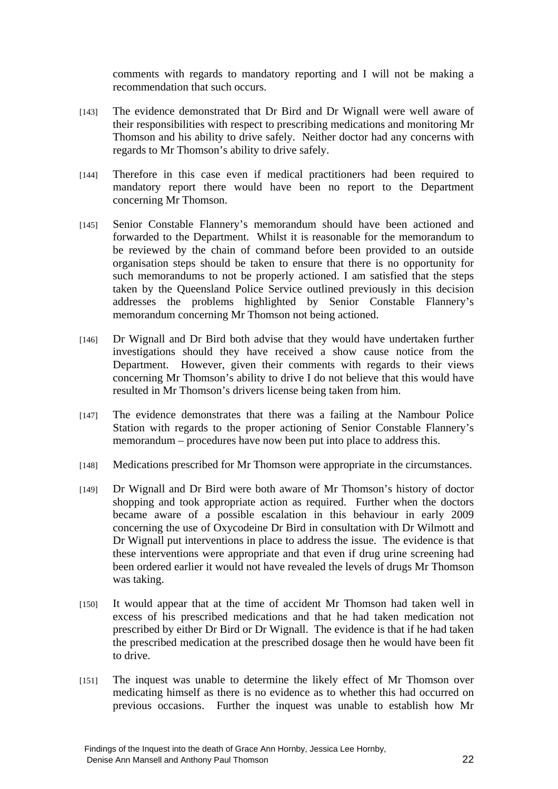comments with regards to mandatory reporting and I will not be making a recommendation that such occurs.

- [143] The evidence demonstrated that Dr Bird and Dr Wignall were well aware of their responsibilities with respect to prescribing medications and monitoring Mr Thomson and his ability to drive safely. Neither doctor had any concerns with regards to Mr Thomson's ability to drive safely.
- [144] Therefore in this case even if medical practitioners had been required to mandatory report there would have been no report to the Department concerning Mr Thomson.
- [145] Senior Constable Flannery's memorandum should have been actioned and forwarded to the Department. Whilst it is reasonable for the memorandum to be reviewed by the chain of command before been provided to an outside organisation steps should be taken to ensure that there is no opportunity for such memorandums to not be properly actioned. I am satisfied that the steps taken by the Queensland Police Service outlined previously in this decision addresses the problems highlighted by Senior Constable Flannery's memorandum concerning Mr Thomson not being actioned.
- [146] Dr Wignall and Dr Bird both advise that they would have undertaken further investigations should they have received a show cause notice from the Department. However, given their comments with regards to their views concerning Mr Thomson's ability to drive I do not believe that this would have resulted in Mr Thomson's drivers license being taken from him.
- [147] The evidence demonstrates that there was a failing at the Nambour Police Station with regards to the proper actioning of Senior Constable Flannery's memorandum – procedures have now been put into place to address this.
- [148] Medications prescribed for Mr Thomson were appropriate in the circumstances.
- [149] Dr Wignall and Dr Bird were both aware of Mr Thomson's history of doctor shopping and took appropriate action as required. Further when the doctors became aware of a possible escalation in this behaviour in early 2009 concerning the use of Oxycodeine Dr Bird in consultation with Dr Wilmott and Dr Wignall put interventions in place to address the issue. The evidence is that these interventions were appropriate and that even if drug urine screening had been ordered earlier it would not have revealed the levels of drugs Mr Thomson was taking.
- [150] It would appear that at the time of accident Mr Thomson had taken well in excess of his prescribed medications and that he had taken medication not prescribed by either Dr Bird or Dr Wignall. The evidence is that if he had taken the prescribed medication at the prescribed dosage then he would have been fit to drive.
- [151] The inquest was unable to determine the likely effect of Mr Thomson over medicating himself as there is no evidence as to whether this had occurred on previous occasions. Further the inquest was unable to establish how Mr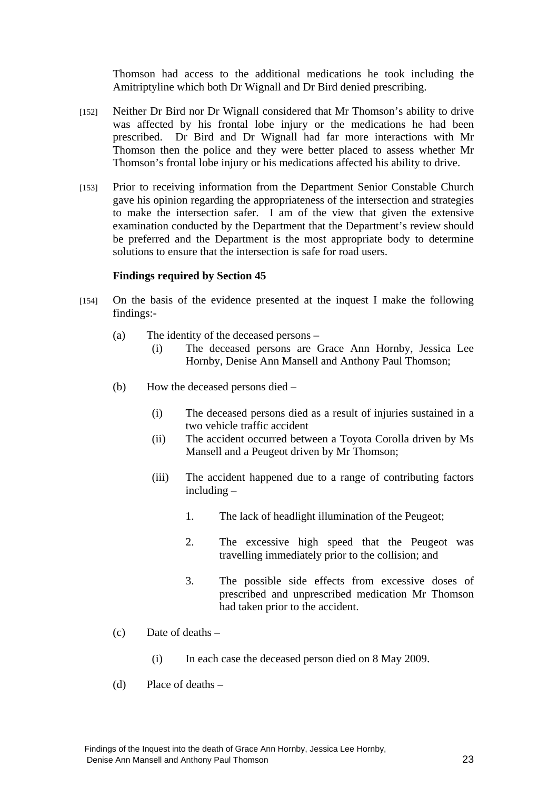Thomson had access to the additional medications he took including the Amitriptyline which both Dr Wignall and Dr Bird denied prescribing.

- [152] Neither Dr Bird nor Dr Wignall considered that Mr Thomson's ability to drive was affected by his frontal lobe injury or the medications he had been prescribed. Dr Bird and Dr Wignall had far more interactions with Mr Thomson then the police and they were better placed to assess whether Mr Thomson's frontal lobe injury or his medications affected his ability to drive.
- [153] Prior to receiving information from the Department Senior Constable Church gave his opinion regarding the appropriateness of the intersection and strategies to make the intersection safer. I am of the view that given the extensive examination conducted by the Department that the Department's review should be preferred and the Department is the most appropriate body to determine solutions to ensure that the intersection is safe for road users.

#### **Findings required by Section 45**

- [154] On the basis of the evidence presented at the inquest I make the following findings:-
	- (a) The identity of the deceased persons
		- (i) The deceased persons are Grace Ann Hornby, Jessica Lee Hornby, Denise Ann Mansell and Anthony Paul Thomson;
	- (b) How the deceased persons died
		- (i) The deceased persons died as a result of injuries sustained in a two vehicle traffic accident
		- (ii) The accident occurred between a Toyota Corolla driven by Ms Mansell and a Peugeot driven by Mr Thomson;
		- (iii) The accident happened due to a range of contributing factors including –
			- 1. The lack of headlight illumination of the Peugeot;
			- 2. The excessive high speed that the Peugeot was travelling immediately prior to the collision; and
			- 3. The possible side effects from excessive doses of prescribed and unprescribed medication Mr Thomson had taken prior to the accident.
	- (c) Date of deaths
		- (i) In each case the deceased person died on 8 May 2009.
	- (d) Place of deaths –